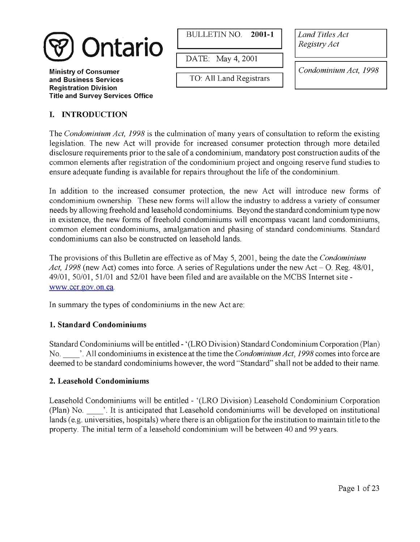

**Ministry of Consumer and Business Services Registration Division Title and Survey Services Office**  BULLETIN NO. **2001-1** Land Titles Act

DATE: May 4,2001

**I** 

TO: All Land Registrars

Registry Act

Condominium Act, *1998* 

# **I. INTRODUCTION**

The Condominium Act, *1998* is the culmination of many years of consultation to reform the existing legislation. The new Act will provide for increased consumer protection through more detailed disclosure requirements prior to the sale of a condominium, mandatory post construction audits of the common elements after registration of the condominium project and ongoing reserve fund studies to ensure adequate funding is available for repairs throughout the life of the condominium.

Land Titles Act<br>
Registry Act<br>
Condominium Act, 1998<br>
Condominium Act, 1998<br>
Lultation to reform the existing<br>
ection through more detailed<br>
post construction audits of the<br>
going reserve fund studies to<br>
he condominium.<br> In addition to the increased consumer protection, the new Act will introduce new forms of condominium ownership. These new forms will allow the industry to address a variety of consumer needs by allowing freehold and leasehold condominiums. Beyond the standard condominium type now in existence, the new forms of freehold condominiums will encompass vacant land condominiums, common element condominiums, amalgamation and phasing of standard condominiums. Standard condominiums can also be constructed on leasehold lands.

The provisions of this Bulletin are effective as of May 5, 2001, being the date the *Condominium* Act,  $1998$  (new Act) comes into force. A series of Regulations under the new Act – O. Reg.  $48/01$ ,  $49/01$ ,  $50/01$ ,  $51/01$  and  $52/01$  have been filed and are available on the MCBS Internet site www.ccr.gov.on.ca.

In summary the types of condominiums in the new Act are:

## **1. Standard Condominiums**

Standard Condominiums will be entitled - '(LRO Division) Standard Condominium Corporation (Plan) No. '. All condominiums in existence at the time the Condominium Act, *1998* comes into force are deemed to be standard condominiums however, the word "Standard" shall not be added to their name.

## **2. Leasehold Condominiums**

Leasehold Condominiums will be entitled - '(LRO Division) Leasehold Condominium Corporation (Plan) No. '. It is anticipated that Leasehold condominiums will be developed on institutional lands (e.g. universities, hospitals) where there is an obligation for the institution to maintain title to the property. The initial term of a leasehold condominium will be between 40 and 99 years.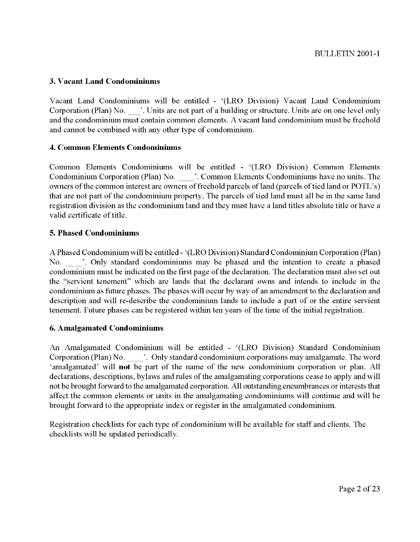## **3. Vacant Land Condominiums**

Vacant Land Condominiums will be entitled - '(LRO Division) Vacant Land Condominium Corporation (Plan) No. '. Units are not part of a building or structure. Units are on one level only and the condominium must contain common elements. A vacant land condominium must be freehold and cannot be combined with any other type of condominium.

## **4. Common Elements Condominiums**

Common Elements Condominiums will be entitled - '(LRO Division) Common Elements Condominium Corporation (Plan) No.  $\ldots$  '. Common Elements Condominiums have no units. The owners of the common interest are owners of freehold parcels of land (parcels of tied land or POTL's) that are not part of the condominium property. The parcels of tied land must all be in the same land registration division as the condominium land and they must have a land titles absolute title or have a valid certificate of title.

## **5. Phased Condominiums**

A Phased Condominium will be entitled - '(LRO Division) Standard Condominium Corporation (Plan) Vand certificate of the.<br>
5. Phased Condominium will be entitled - '(LRO Division) Standard Condominium Corporation (Plan)<br>
No. \_\_\_\_\_'. Only standard condominiums may be phased and the intention to create a phased<br>
condomi the "servient tenement" which are lands that the declarant owns and intends to include in the condominium as future phases. The phases will occur by way of an amendment to the declaration and description and will re-describe the condominium lands to include a part of or the entire servient tenement. Future phases can be registered within ten years of the time of the initial registration.

## **6. Amalgamated Condominiums**

An Amalgamated Condominium will be entitled - '(LRO Division) Standard Condominium Corporation (Plan) No.  $\cdot$  . Only standard condominium corporations may amalgamate. The word 'amalgamated' will **not** be part of the name of the new condominium corporation or plan. All declarations, descriptions, bylaws and rules of the amalgamating corporations cease to apply and will not be brought forward to the amalgamated corporation. All outstanding encumbrances or interests that affect the common elements or units in the amalgamating condominiums will continue and will be brought forward to the appropriate index or register in the amalgamated condominium.

Registration checklists for each type of condominium will be available for staff and clients. The checklists will be updated periodically.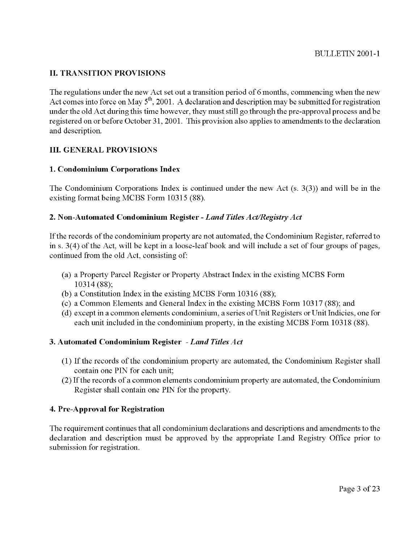## **11. TRANSITION PROVISIONS**

The regulations under the new Act set out a transition period of 6 months, commencing when the new Act comes into force on May 5<sup>th</sup>, 2001. A declaration and description may be submitted for registration under the old Act during this time however, they must still go through the pre-approval process and be registered on or before October 31,2001. This provision also applies to amendments to the declaration and description.

#### **111. GENERAL PROVISIONS**

#### **1. Condominium Corporations Index**

The Condominium Corporations Index is continued under the new Act (s. 3(3)) and will be in the existing format being MCBS Form 10315 (88).

## **2. Non-Automated Condominium Register** - *Land Titles ActIRegistry Act*

If the records of the condominium property are not automated, the Condominium Register, referred to in s. 3(4) of the Act, will be kept in a loose-leaf book and will include a set of four groups of pages, continued from the old Act, consisting of:

- (a) a Property Parcel Register or Property Abstract Index in the existing MCBS Form 10314 (88);
- (b) a Constitution Index in the existing MCBS Form 103 16 (88);
- (c) a Common Elements and General Index in the existing MCBS Form 103 17 (88); and
- (d) except in a common elements condominium, a series of Unit Registers or Unit Indicies, one for each unit included in the condominium property, in the existing MCBS Form 10318 (88).

## **3. Automated Condominium Register** *-Land Titles Act*

- (1) If the records of the condominium property are automated, the Condominium Register shall contain one PIN for each unit;
- (2) If the records of a common elements condominium property are automated, the Condominium Register shall contain one PIN for the property.

## **4. Pre-Approval for Registration**

The requirement continues that all condominium declarations and descriptions and amendments to the declaration and description must be approved by the appropriate Land Registry Office prior to submission for registration.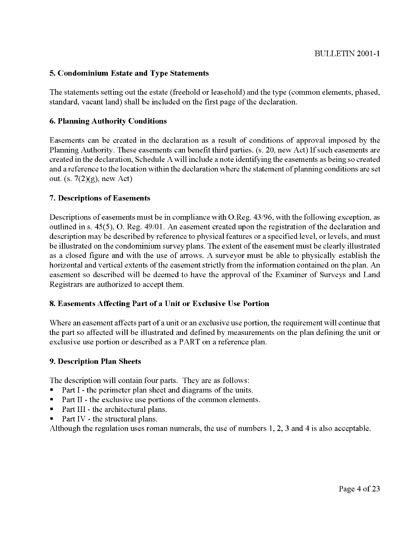## **5. Condominium Estate and Type Statements**

The statements setting out the estate (freehold or leasehold) and the type (common elements, phased, standard, vacant land) shall be included on the first page of the declaration.

## **6. Planning Authority Conditions**

Easements can be created in the declaration as a result of conditions of approval imposed by the Planning Authority. These easements can benefit third parties. (s. 20, new Act) If such easements are created in the declaration, Schedule A will include a note identifying the easements as being so created and a reference to the location within the declaration where the statement of planning conditions are set out. (s.  $7(2)(g)$ , new Act)

#### **7. Descriptions of Easements**

Descriptions of easements must be in compliance with O.Reg. 43/96, with the following exception, as outlined in s. 45(5), 0. Reg. 49/01. An easement created upon the registration of the declaration and description may be described by reference to physical features or a specified level, or levels, and must be illustrated on the condominium survey plans. The extent of the easement must be clearly illustrated as a closed figure and with the use of arrows. A surveyor must be able to physically establish the horizontal and vertical extents of the easement strictly from the information contained on the plan. An easement so described will be deemed to have the approval of the Examiner of Surveys and Land Registrars are authorized to accept them.

## **8. Easements Affecting Part of a Unit or Exclusive Use Portion**

Where an easement affects part of a unit or an exclusive use portion, the requirement will continue that the part so affected will be illustrated and defined by measurements on the plan defining the unit or exclusive use portion or described as a PART on a reference plan.

#### **9. Description Plan Sheets**

The description will contain four parts. They are as follows:

- Part I the perimeter plan sheet and diagrams of the units.
- Part I1 the exclusive use portions of the common elements.
- $\blacksquare$ Part III - the architectural plans.
- Part IV the structural plans.  $\blacksquare$

Although the regulation uses roman numerals, the use of numbers 1, 2, 3 and 4 is also acceptable.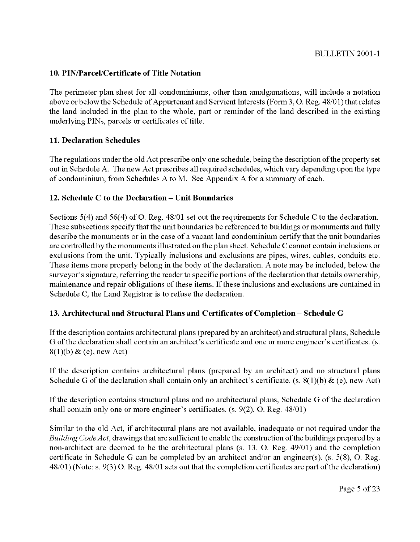## **10. PINIParceVCertificate of Title Notation**

The perimeter plan sheet for all condominiums, other than amalgamations, will include a notation above or below the Schedule of Appurtenant and Servient Interests (Form 3, O. Reg. 48/01) that relates the land included in the plan to the whole, part or reminder of the land described in the existing underlying PINS, parcels or certificates of title.

## **11. Declaration Schedules**

The regulations under the old Act prescribe only one schedule, being the description ofthe property set out in Schedule A. The new Act prescribes all required schedules, which vary depending upon the type of condominium, from Schedules A to M. See Appendix A for a summary of each.

## 12. Schedule C to the Declaration – Unit Boundaries

Sections 5(4) and 56(4) of 0. Reg. 48/01 set out the requirements for Schedule C to the declaration. These subsections specify that the unit boundaries be referenced to buildings or monuments and fully describe the monuments or in the case of a vacant land condominium certify that the unit boundaries are controlled by the monuments illustrated on the plan sheet. Schedule C cannot contain inclusions or exclusions from the unit. Typically inclusions and exclusions are pipes, wires, cables, conduits etc. These items more properly belong in the body of the declaration. A note may be included, below the surveyor's signature, referring the reader to specific portions of the declaration that details ownership, maintenance and repair obligations of these items. If these inclusions and exclusions are contained in Schedule C, the Land Registrar is to refuse the declaration.

## **13. Architectural and Structural Plans and Certificates of Completion** - **Schedule G**

If the description contains architectural plans (prepared by an architect) and structural plans, Schedule G of the declaration shall contain an architect's certificate and one or more engineer's certificates. (s.  $8(1)(b)$  & (e), new Act)

If the description contains architectural plans (prepared by an architect) and no structural plans Schedule G of the declaration shall contain only an architect's certificate. (s.  $8(1)(b)$  & (e), new Act)

If the description contains structural plans and no architectural plans, Schedule G of the declaration shall contain only one or more engineer's certificates. (s. 9(2), 0. Reg. 48/01)

Similar to the old Act, if architectural plans are not available, inadequate or not required under the *Building Code Act*, drawings that are sufficient to enable the construction of the buildings prepared by a non-architect are deemed to be the architectural plans (s. 13, 0. Reg. 49/01) and the completion certificate in Schedule G can be completed by an architect and/or an engineer(s). (s. 5(8), 0. Reg. 48/01) (Note: s. 9(3) 0. Reg. 48/01 sets out that the completion certificates are part of the declaration)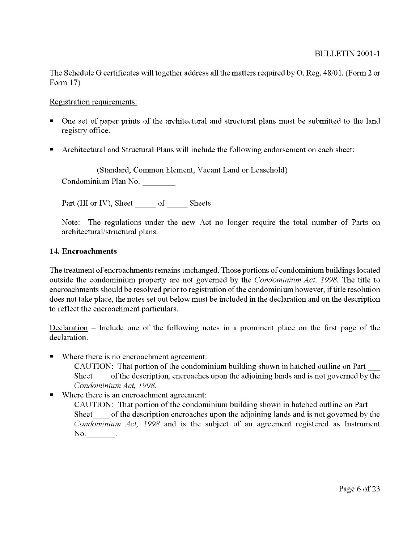The Schedule G certificates will together address all the matters required by 0. Reg. 48/01. (Form 2 or Form 17)

### Registration requirements:

- One set of paper prints of the architectural and structural plans must be submitted to the land registry office.
- Architectural and Structural Plans will include the following endorsement on each sheet:

(Standard, Common Element, Vacant Land or Leasehold) Condominium Plan No. Part (I11 or IV), Sheet --

of Sheets

Note: The regulations under the new Act no longer require the total number of Parts on architectural/structural plans.

## **14. Encroachments**

The treatment of encroachments remains unchanged. Those portions of condominium buildings located outside the condominium property are not governed by the *Condominium Act, 1998.* The title to encroachments should be resolved prior to registration of the condominium however, if title resolution does not take place, the notes set out below must be included in the declaration and on the description to reflect the encroachment particulars.

Declaration – Include one of the following notes in a prominent place on the first page of the declaration.

Where there is no encroachment agreement:

CAUTION: That portion of the condominium building shown in hatched outline on Part Sheet - of the description, encroaches upon the adjoining lands and is not governed by the Condominium Act, 1998. *condominium Act, 1998.* 

Where there is an encroachment agreement:  $\blacksquare$ 

CAUTION: That portion of the condominium building shown in hatched outline on Part Sheet of the description, encroaches upon the adjoining lands and is not governed by the Condominium Act, 1998.<br>
For the description, encroaches upon the adjoining lands and is not governed by the Condominium Act, 1998.<br> *Condominium Act, 1998* and is the subject of an agreement registered as Instrument No.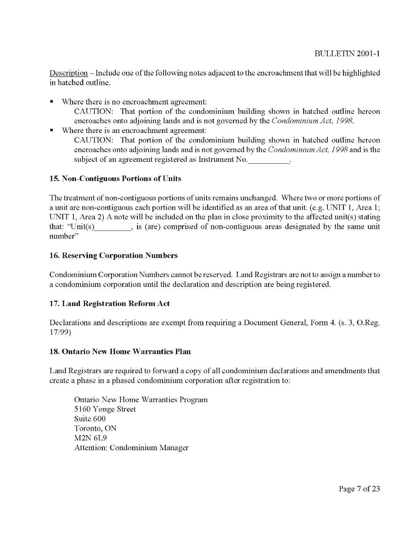Description - Include one of the following notes adjacent to the encroachment that will be highlighted in hatched outline.

- Where there is no encroachment agreement: CAUTION: That portion of the condominium building shown in hatched outline hereon encroaches onto adjoining lands and is not governed by the *Condominium Act, 1998.*
- Where there is an encroachment agreement: CAUTION: That portion of the condominium building shown in hatched outline hereon encroaches onto adjoining lands and is not governed by the *Condominium Act, 1998* and is the subject of an agreement registered as Instrument No.

## **15. Non-Contiguous Portions of Units**

The treatment of non-contiguous portions of units remains unchanged. Where two or more portions of a unit are non-contiguous each portion will be identified as an area of that unit. (e.g. UNIT 1, Area 1; UNIT 1, Area 2) A note will be included on the plan in close proximity to the affected unit(s) stating that: "Unit(s)  $\cdot$ , is (are) comprised of non-contiguous areas designated by the same unit number"

## **16. Reserving Corporation Numbers**

Condominium Corporation Numbers cannot be reserved. Land Registrars are not to assign a number to a condominium corporation until the declaration and description are being registered.

## **17. Land Registration Reform Act**

Declarations and descriptions are exempt from requiring a Document General, Form 4. (s. **3,** O.Reg. 17/99)

## **18. Ontario New Home Warranties Plan**

Land Registrars are required to forward a copy of all condominium declarations and amendments that create a phase in a phased condominium corporation after registration to:

Ontario New Home Warranties Program 5 160 Yonge Street Suite 600 Toronto, ON M2N 6L9 Attention: Condominium Manager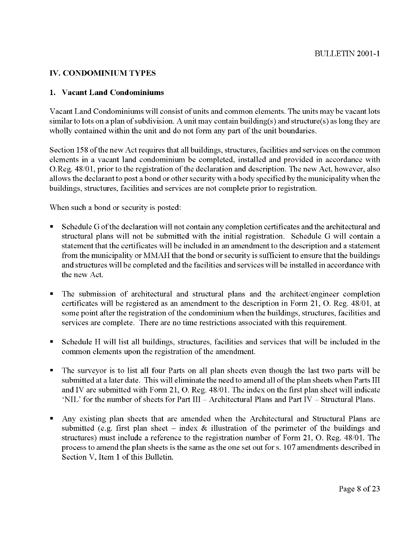## **IV. CONDOMINIUM TYPES**

## **1. Vacant Land Condominiums**

Vacant Land Condominiums will consist of units and common elements. The units may be vacant lots similar to lots on a plan of subdivision. A unit may contain building(s) and structure(s) as long they are wholly contained within the unit and do not form any part of the unit boundaries.

Section 158 ofthe new Act requires that all buildings, structures, facilities and services on the common elements in a vacant land condominium be completed, installed and provided in accordance with O.Reg. 48/01, prior to the registration of the declaration and description. The new Act, however, also allows the declarant to post a bond or other security with a body specified by the municipality when the buildings, structures, facilities and services are not complete prior to registration.

When such a bond or security is posted:

- Schedule G ofthe declaration will not contain any completion certificates and the architectural and structural plans will not be submitted with the initial registration. Schedule G will contain a statement that the certificates will be included in an amendment to the description and a statement from the municipality or MMAH that the bond or security is sufficient to ensure that the buildings and structures will be completed and the facilities and services will be installed in accordance with the new Act.
- The submission of architectural and structural plans and the architect/engineer completion certificates will be registered as an amendment to the description in Form 21, 0. Reg. 48/01, at some point after the registration of the condominium when the buildings, structures, facilities and services are complete. There are no time restrictions associated with this requirement.
- Schedule H will list all buildings, structures, facilities and services that will be included in the common elements upon the registration of the amendment.
- The surveyor is to list all four Parts on all plan sheets even though the last two parts will be submitted at a later date. This will eliminate the need to amend all of the plan sheets when Parts III and IV are submitted with Form 21, 0. Reg. 48/01. The index on the first plan sheet will indicate 'NIL' for the number of sheets for Part I11 - Architectural Plans and Part IV - Structural Plans.
- Any existing plan sheets that are amended when the Architectural and Structural Plans are submitted (e.g. first plan sheet – index  $\&$  illustration of the perimeter of the buildings and structures) must include a reference to the registration number of Form 21, 0. Reg. 48/01. The process to amend the plan sheets is the same as the one set out for s. 107 amendments described in Section V. Item 1 of this Bulletin.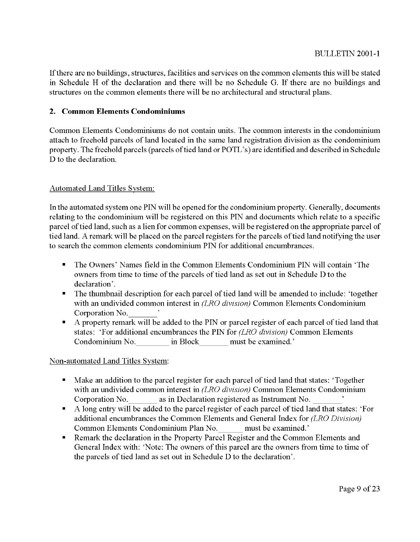If there are no buildings, structures, facilities and services on the common elements this will be stated in Schedule H of the declaration and there will be no Schedule G. If there are no buildings and structures on the common elements there will be no architectural and structural plans.

## **2. Common Elements Condominiums**

Common Elements Condominiums do not contain units. The common interests in the condominium attach to freehold parcels of land located in the same land registration division as the condominium property. The freehold parcels (parcels of tied land or POTL's) are identified and described in Schedule D to the declaration.

## Automated Land Titles Svstem:

In the automated system one PIN will be opened for the condominium property. Generally, documents relating to the condominium will be registered on this PIN and documents which relate to a specific parcel of tied land, such as a lien for common expenses, will be registered on the appropriate parcel of tied land. A remark will be placed on the parcel registers for the parcels of tied land notifying the user to search the common elements condominium PIN for additional encumbrances.

- The Owners' Names field in the Common Elements Condominium PIN will contain 'The  $\blacksquare$ owners from time to time of the parcels of tied land as set out in Schedule D to the declaration'.
- The thumbnail description for each parcel of tied land will be amended to include: 'together with an undivided common interest in *(LRO division)* Common Elements Condominium Corporation No.
- A property remark will be added to the PIN or parcel register of each parcel of tied land that states: 'For additional encumbrances the PIN for *(LRO division)* Common Elements Condominium No. in Block must be examined.'

## Non-automated Land Titles Svstem:

- Make an addition to the parcel register for each parcel of tied land that states: 'Together with an undivided common interest in *(LRO division)* Common Elements Condominium Corporation No. **as in Declaration registered as Instrument No.**
- A long entry will be added to the parcel register of each parcel of tied land that states: 'For additional encumbrances the Common Elements and General Index for *(LRO Division)*  Common Elements Condominium Plan No. must be examined.'
- Remark the declaration in the Property Parcel Register and the Common Elements and General Index with: 'Note: The owners of this parcel are the owners from time to time of the parcels of tied land as set out in Schedule D to the declaration'.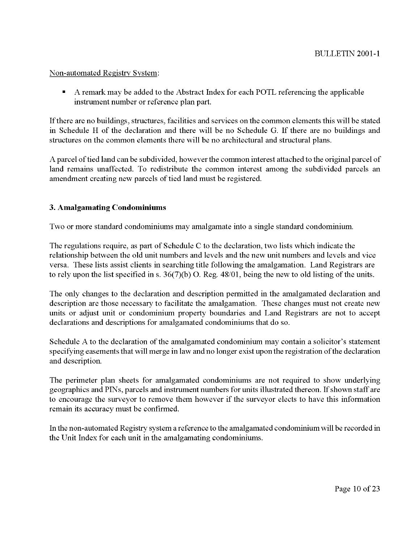### Non-automated Registry System:

A remark may be added to the Abstract Index for each POTL referencing the applicable instrument number or reference plan part.

If there are no buildings, structures, facilities and services on the common elements this will be stated in Schedule H of the declaration and there will be no Schedule G. If there are no buildings and structures on the common elements there will be no architectural and structural plans.

A parcel of tied land can be subdivided, however the common interest attached to the original parcel of land remains unaffected. To redistribute the common interest among the subdivided parcels an amendment creating new parcels of tied land must be registered.

## **3. Amalgamating Condominiums**

Two or more standard condominiums may amalgamate into a single standard condominium.

The regulations require, as part of Schedule C to the declaration, two lists which indicate the relationship between the old unit numbers and levels and the new unit numbers and levels and vice versa. These lists assist clients in searching title following the amalgamation. Land Registrars are to rely upon the list specified in s. 36(7)(b) 0. Reg. 48/01, being the new to old listing of the units.

The only changes to the declaration and description permitted in the amalgamated declaration and description are those necessary to facilitate the amalgamation. These changes must not create new units or adjust unit or condominium property boundaries and Land Registrars are not to accept declarations and descriptions for amalgamated condominiums that do so.

Schedule A to the declaration of the amalgamated condominium may contain a solicitor's statement specifying easements that will merge in law and no longer exist upon the registration of the declaration and description.

The perimeter plan sheets for amalgamated condominiums are not required to show underlying geographics and PINS, parcels and instrument numbers for units illustrated thereon. If shown staff are to encourage the surveyor to remove them however if the surveyor elects to have this information remain its accuracy must be confirmed.

In the non-automated Registry system a reference to the amalgamated condominium will be recorded in the Unit Index for each unit in the amalgamating condominiums.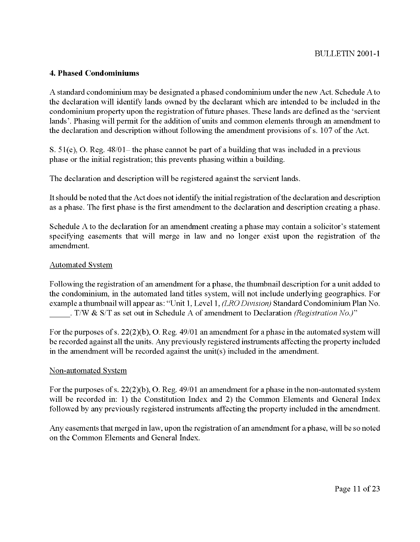#### **4. Phased Condominiums**

A standard condominium may be designated a phased condominium under the new Act. Schedule A to the declaration will identify lands owned by the declarant which are intended to be included in the condominium property upon the registration of future phases. These lands are defined as the 'servient lands'. Phasing will permit for the addition of units and common elements through an amendment to the declaration and description without following the amendment provisions of s. 107 of the Act.

S.  $51(e)$ , O. Reg.  $48/01$  – the phase cannot be part of a building that was included in a previous phase or the initial registration; this prevents phasing within a building.

The declaration and description will be registered against the servient lands.

It should be noted that the Act does not identify the initial registration of the declaration and description as a phase. The first phase is the first amendment to the declaration and description creating a phase.

Schedule A to the declaration for an amendment creating a phase may contain a solicitor's statement specifying easements that will merge in law and no longer exist upon the registration of the amendment.

#### Automated System

Following the registration of an amendment for a phase, the thumbnail description for a unit added to the condominium, in the automated land titles system, will not include underlying geographics. For example a thumbnail will appear as: "Unit 1, Level 1, *(LRO Division)* Standard Condominium Plan No. . T/W & SIT as set out in Schedule A of amendment to Declaration *(Registration No.)"* 

For the purposes of s. 22(2)(b), 0. Reg. 49/01 an amendment for a phase in the automated system will be recorded against all the units. Any previously registered instruments affecting the property included in the amendment will be recorded against the unit(s) included in the amendment.

#### Non-automated Svstem

For the purposes of s.  $22(2)(b)$ , O. Reg.  $49/01$  an amendment for a phase in the non-automated system will be recorded in: 1) the Constitution Index and 2) the Common Elements and General Index followed by any previously registered instruments affecting the property included in the amendment.

Any easements that merged in law, upon the registration of an amendment for a phase, will be so noted on the Common Elements and General Index.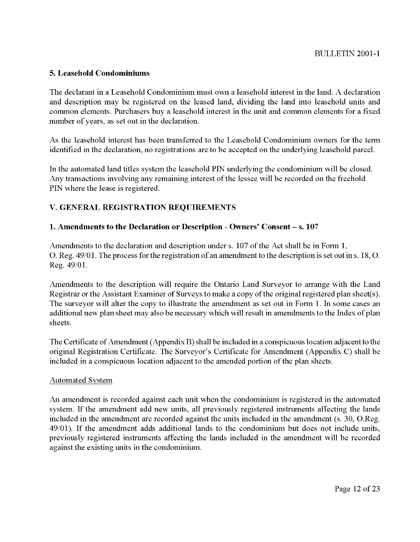#### **5. Leasehold Condominiums**

The declarant in a Leasehold Condominium must own a leasehold interest in the land. A declaration and description may be registered on the leased land, dividing the land into leasehold units and common elements. Purchasers buy a leasehold interest in the unit and common elements for a fixed number of years, as set out in the declaration.

As the leasehold interest has been transferred to the Leasehold Condominium owners for the term identified in the declaration, no registrations are to be accepted on the underlying leasehold parcel.

In the automated land titles system the leasehold PIN underlying the condominium will be closed. Any transactions involving any remaining interest of the lessee will be recorded on the freehold PIN where the lease is registered.

## **V. GENERAL REGISTRATION REQUIREMENTS**

#### **1. Amendments to the Declaration or Description** - **Owners' Consent** - **s. 107**

Amendments to the declaration and description under s. 107 of the Act shall be in Form 1, 0. Reg. 49/01. The process for the registration of an amendment to the description is set out ins. 18,O. Reg. 49/01.

Amendments to the description will require the Ontario Land Surveyor to arrange with the Land Registrar or the Assistant Examiner of Surveys to make a copy of the original registered plan sheet(s). The surveyor will alter the copy to illustrate the amendment as set out in Form 1. In some cases an additional new plan sheet may also be necessary which will result in amendments to the Index of plan sheets.

The Certificate of Amendment (Appendix B) shall be included in a conspicuous location adjacent to the original Registration Certificate. The Surveyor's Certificate for Amendment (Appendix C) shall be included in a conspicuous location adjacent to the amended portion of the plan sheets.

#### Automated System

An amendment is recorded against each unit when the condominium is registered in the automated system. If the amendment add new units, all previously registered instruments affecting the lands included in the amendment are recorded against the units included in the amendment (s. 30, O.Reg. 49/01). If the amendment adds additional lands to the condominium but does not include units, previously registered instruments affecting the lands included in the amendment will be recorded against the existing units in the condominium.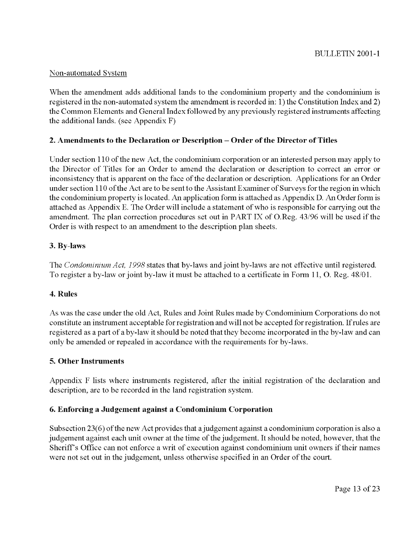## Non-automated System

When the amendment adds additional lands to the condominium property and the condominium is registered in the non-automated system the amendment is recorded in: 1) the Constitution Index and 2) the Common Elements and General Index followed by any previously registered instruments affecting the additional lands. (see Appendix F)

## **2. Amendments to the Declaration or Description** - **Order of the Director of Titles**

Under section 110 of the new Act, the condominium corporation or an interested person may apply to the Director of Titles for an Order to amend the declaration or description to correct an error or inconsistency that is apparent on the face of the declaration or description. Applications for an Order under section 110 ofthe Act are to be sent to the Assistant Examiner of Surveys for the region in which the condominium property is located. An application form is attached as Appendix D. An Order form is attached as Appendix E. The Order will include a statement of who is responsible for carrying out the amendment. The plan correction procedures set out in PART IX of O.Reg. 43/96 will be used if the Order is with respect to an amendment to the description plan sheets.

## 3. By-laws

The *Condominium* Act, *1998* states that by-laws and joint by-laws are not effective until registered. To register a by-law or joint by-law it must be attached to a certificate in Form 11, 0. Reg. 48/01.

## **4. Rules**

As was the case under the old Act, Rules and Joint Rules made by Condominium Corporations do not constitute an instrument acceptable for registration and will not be accepted for registration. If rules are registered as a part of a by-law it should be noted that they become incorporated in the by-law and can only be amended or repealed in accordance with the requirements for by-laws.

## **5. Other Instruments**

Appendix F lists where instruments registered, after the initial registration of the declaration and description, are to be recorded in the land registration system.

## **6. Enforcing a Judgement against a Condominium Corporation**

Subsection 23(6) of the new Act provides that a judgement against a condominium corporation is also a judgement against each unit owner at the time of the judgement. It should be noted, however, that the Sheriff's Office can not enforce a writ of execution against condominium unit owners if their names were not set out in the judgement, unless otherwise specified in an Order of the court.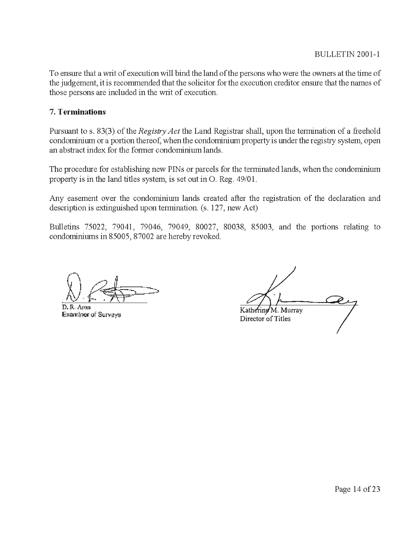To ensure that a writ of execution will bind the land of the persons who were the owners at the time of the judgement, it is recommended that the solicitor for the execution credtor ensure that the names of those persons are included in the writ of execution.

## **7. Terminations**

Pursuant to s. 83(3) of the *Regisfry Act* the Land Registrar shall, upon the termination of a freehold condominium or a portion thereof, when the condominium property is under the registry system, open an abstract index for the former condominium lands.

The procedure for establishing new PINs or parcels for the terminated lands, when the condominium property is in the land titles system, is set out in O. Reg. 49/01.

Any easement over the condominium lands created after the regstration of the declaration and description is extinguished upon termination. (s. 127, new Act)

Bulletins 75022, 79041, 79046, 79049, 80027, 80038, 85003, and the porhons relating to condominiums in 85005,87002 are hereby revoked.

Dr~"---?kF D.R, **Amn** 

Examiner of Surveys

Kathering 'M. Murray Director of Titles

Page 14 of 23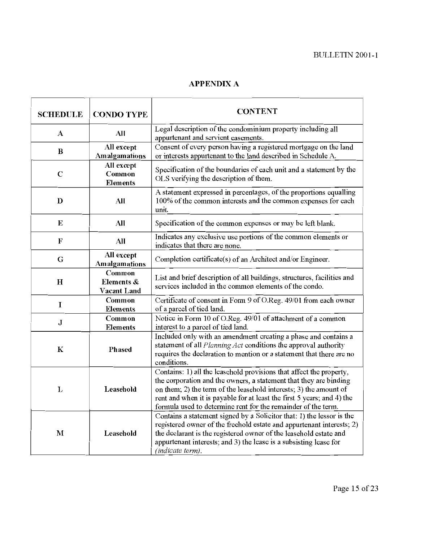# **APPENDIX A**

| <b>SCHEDULE</b> | <b>CONDO TYPE</b>                          | <b>CONTENT</b>                                                                                                                                                                                                                                                                                                                                           |  |
|-----------------|--------------------------------------------|----------------------------------------------------------------------------------------------------------------------------------------------------------------------------------------------------------------------------------------------------------------------------------------------------------------------------------------------------------|--|
| A               | All                                        | Legal description of the condominium property including all<br>appurtenant and servient easements.                                                                                                                                                                                                                                                       |  |
| $\bf{B}$        | All except<br>Amalgamations                | Consent of every person having a registered mortgage on the land<br>or interests appurtenant to the land described in Schedule A.                                                                                                                                                                                                                        |  |
| $\mathbf C$     | All except<br>Common<br><b>Elements</b>    | Specification of the boundaries of each unit and a statement by the<br>OLS verifying the description of them.                                                                                                                                                                                                                                            |  |
| D               | All                                        | A statement expressed in percentages, of the proportions equalling<br>100% of the common interests and the common expenses for each<br>unit.                                                                                                                                                                                                             |  |
| E               | All                                        | Specification of the common expenses or may be left blank.                                                                                                                                                                                                                                                                                               |  |
| $\mathbf{F}$    | All                                        | Indicates any exclusive use portions of the common elements or<br>indicates that there are none.                                                                                                                                                                                                                                                         |  |
| G               | All except<br><b>Amalgamations</b>         | Completion certificate(s) of an Architect and/or Engineer.                                                                                                                                                                                                                                                                                               |  |
| H               | Common<br>Elements &<br><b>Vacant Land</b> | List and brief description of all buildings, structures, facilities and<br>services included in the common elements of the condo.                                                                                                                                                                                                                        |  |
| I               | Common<br><b>Elements</b>                  | Certificate of consent in Form 9 of O.Reg. 49/01 from each owner<br>of a parcel of tied land.                                                                                                                                                                                                                                                            |  |
| $\mathbf J$     | Common<br><b>Elements</b>                  | Notice in Form 10 of O.Reg. 49/01 of attachment of a common<br>interest to a parcel of tied land.                                                                                                                                                                                                                                                        |  |
| ${\bf K}$       | Phased                                     | Included only with an amendment creating a phase and contains a<br>statement of all <i>Planning Act</i> conditions the approval authority<br>requires the declaration to mention or a statement that there are no<br>conditions.                                                                                                                         |  |
| L               | Leasehold                                  | Contains: 1) all the leasehold provisions that affect the property,<br>the corporation and the owners, a statement that they are binding<br>on them; 2) the term of the leasehold interests; 3) the amount of<br>rent and when it is payable for at least the first 5 years; and 4) the<br>formula used to determine rent for the remainder of the term. |  |
| $\mathbf{M}$    | Leasehold                                  | Contains a statement signed by a Solicitor that: 1) the lessor is the<br>registered owner of the freehold estate and appurtenant interests; 2)<br>the declarant is the registered owner of the leasehold estate and<br>appurtenant interests; and 3) the lease is a subsisting lease for<br>(indicate term).                                             |  |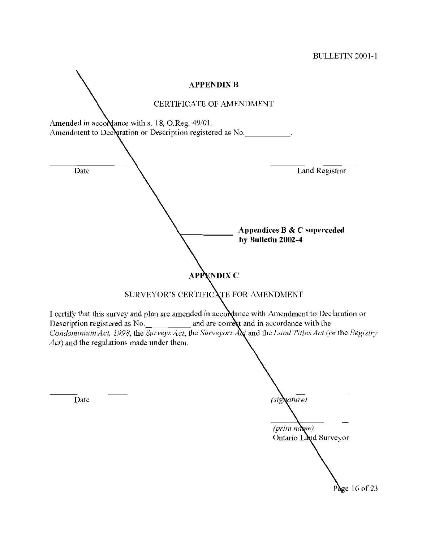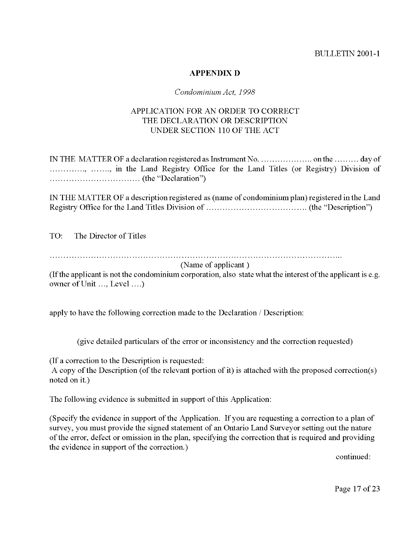## **APPENDIX D**

### *Condominium Act, 1998*

## APPLICATION FOR AN ORDER TO CORRECT THE DECLARATION OR DESCRIPTION UNDER SECTION 110 OF THE ACT

IN THE MATTER OF a declaration registered as Instrument No. ................... on the ......... day of .............., ......., in the Land Registry Office for the Land Titles (or Registry) Division of ................................. (the "Declaration")

IN THE MATTER OF a description registered as (name of condominium plan) registered in the Land Registry Office for the Land Titles Division of ..................................... (the "Description")

TO: The Director of Titles

...........................................................................................................

(Name of applicant )

(If the applicant is not the condominium corporation, also state whatthe interest ofthe applicant is e.g. owner of Unit ..., Level ....)

apply to have the following correction made to the Declaration / Description:

(give detailed particulars of the error or inconsistency and the correction requested)

(If a correction to the Description is requested:

A copy of the Description (of the relevant portion of it) is attached with the proposed correction(s) noted on it.)

The following evidence is submitted in support of this Application:

(Specify the evidence in support of the Application. If you are requesting a correction to a plan of survey, you must provide the signed statement of an Ontario Land Surveyor setting out the nature of the error, defect or omission in the plan, specifying the correction that is required and providing the evidence in support of the correction.)

continued:

Page 17 of 23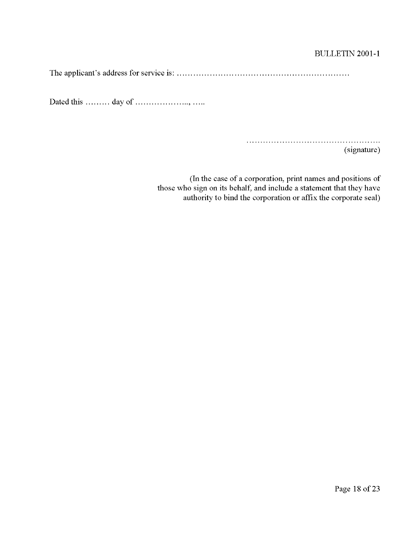## **BULLETIN 2001-1**

The applicant's address for service is: ........... ..............

Dated this ......... day of ................. ..., .....

..............

(signature)

(In the case of a corporation, print names and positions of those who sign on its behalf, and include a statement that they have authority to bind the corporation or affix the corporate seal)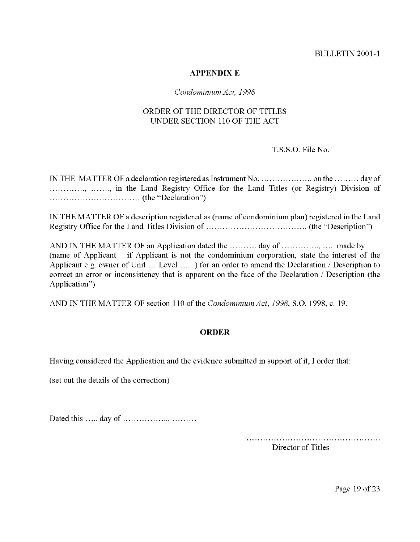#### **APPENDIX E**

#### *condominium Act, 1998*

## ORDER OF THE DIRECTOR OF TITLES UNDER SECTION 110 OF THE ACT

## T.S.S.O. File No,

IN THE MATTER OF a declaration registered as Instrument No. ................... on the ......... day of .............., ......., in the Land Registry Office for the Land Titles (or Registry) Division of ................................. (the "Declaration")

IN THE MATTER OF a description registered as (name of condominium plan) registered in the Land Registry Office for the Land Titles Division of ..................................... (the "Description")

AND IN THE MATTER OF an Application dated the .......... day of.. .......... .., .... made by (name of Applicant - if Applicant is not the condominium corporation, state the interest of the Applicant e.g. owner of Unit ... Level ..... ) for an order to amend the Declaration / Description to correct an error or inconsistency that is apparent on the face of the Declaration / Description (the Application")

AND IN THE MATTER OF section 110 of the *Condominium Act, 1998,* S.O. 1998, c. 19.

## **ORDER**

Having considered the Application and the evidence submitted in support of it, I order that:

(set out the details of the correction)

Dated this ..... day of ............... ..,

.................................................

Director of Titles

Page 19 of 23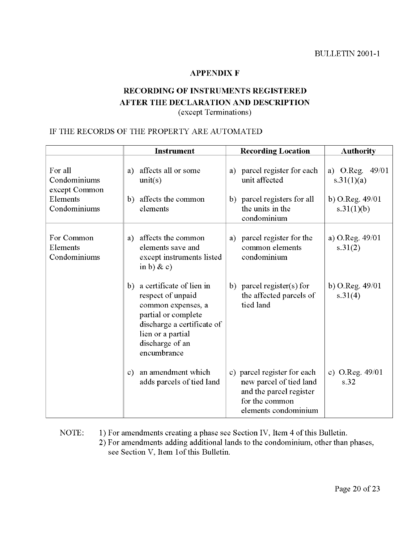### **APPENDIX F**

## **RECORDING OF INSTRUMENTS REGISTERED AFTER THE DECLARATION AND DESCRIPTION**  (except Terminations)

## IF THE RECORDS OF THE PROPERTY ARE AUTOMATED

|                                                                      | <b>Instrument</b>                                                                                                                                                                     | <b>Recording Location</b>                                                                                                   | <b>Authority</b>                                                 |
|----------------------------------------------------------------------|---------------------------------------------------------------------------------------------------------------------------------------------------------------------------------------|-----------------------------------------------------------------------------------------------------------------------------|------------------------------------------------------------------|
| For all<br>Condominiums<br>except Common<br>Elements<br>Condominiums | affects all or some<br>a)<br>unit(s)<br>affects the common<br>b)<br>elements                                                                                                          | parcel register for each<br>a)<br>unit affected<br>b) parcel registers for all<br>the units in the<br>condominium           | a) O.Reg. $49/01$<br>s.31(1)(a)<br>b) O.Reg. 49/01<br>s.31(1)(b) |
| For Common<br>Elements<br>Condominiums                               | affects the common<br>a)<br>elements save and<br>except instruments listed<br>in b) & c)                                                                                              | a) parcel register for the<br>common elements<br>condominium                                                                | a) O.Reg. 49/01<br>s.31(2)                                       |
|                                                                      | a certificate of lien in<br>b)<br>respect of unpaid<br>common expenses, a<br>partial or complete<br>discharge a certificate of<br>lien or a partial<br>discharge of an<br>encumbrance | b) parcel register(s) for<br>the affected parcels of<br>tied land                                                           | b) O.Reg. $49/01$<br>s.31(4)                                     |
|                                                                      | an amendment which<br>$\mathbf{c})$<br>adds parcels of tied land                                                                                                                      | c) parcel register for each<br>new parcel of tied land<br>and the parcel register<br>for the common<br>elements condominium | c) O.Reg. $49/01$<br>s.32                                        |

## NOTE: 1) For amendments creating a phase see Section IV, Item 4 of this Bulletin. 2) For amendments adding additional lands to the condominium, other than phases, see Section V, Item lof this Bulletin.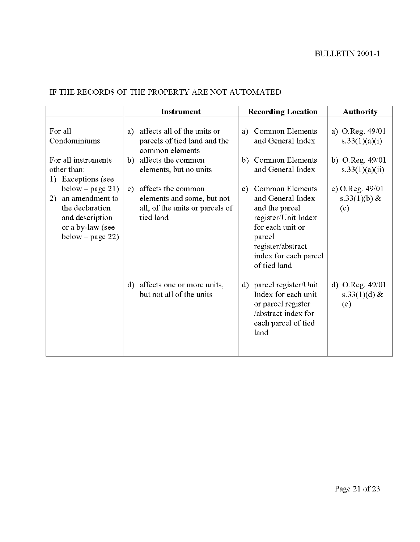# IF THE RECORDS OF THE PROPERTY ARE NOT AUTOMATED

|                                                                                                                         | <b>Instrument</b>                                                                                                                          | <b>Recording Location</b>                                                                                                                                                              | <b>Authority</b>                                                          |
|-------------------------------------------------------------------------------------------------------------------------|--------------------------------------------------------------------------------------------------------------------------------------------|----------------------------------------------------------------------------------------------------------------------------------------------------------------------------------------|---------------------------------------------------------------------------|
| For all<br>Condominiums<br>For all instruments<br>other than:<br>1) Exceptions (see                                     | affects all of the units or<br>a)<br>parcels of tied land and the<br>common elements<br>affects the common<br>b)<br>elements, but no units | <b>Common Elements</b><br>a)<br>and General Index<br><b>Common Elements</b><br>b)<br>and General Index                                                                                 | a) O.Reg. 49/01<br>s $33(1)(a)(i)$<br>b) O.Reg. $49/01$<br>s.33(1)(a)(ii) |
| below – page 21)<br>an amendment to<br>2)<br>the declaration<br>and description<br>or a by-law (see<br>below – page 22) | affects the common<br>c)<br>elements and some, but not<br>all, of the units or parcels of<br>tied land                                     | <b>Common Elements</b><br>C)<br>and General Index<br>and the parcel<br>register/Unit Index<br>for each unit or<br>parcel<br>register/abstract<br>index for each parcel<br>of tied land | c) O.Reg. $49/01$<br>s.33 $(1)(b)$ &<br>(c)                               |
|                                                                                                                         | affects one or more units,<br>$\mathbf{d}$<br>but not all of the units                                                                     | d) parcel register/Unit<br>Index for each unit<br>or parcel register<br>/abstract index for<br>each parcel of tied<br>land                                                             | d) O.Reg. $49/01$<br>s.33 $(1)(d)$ &<br>(e)                               |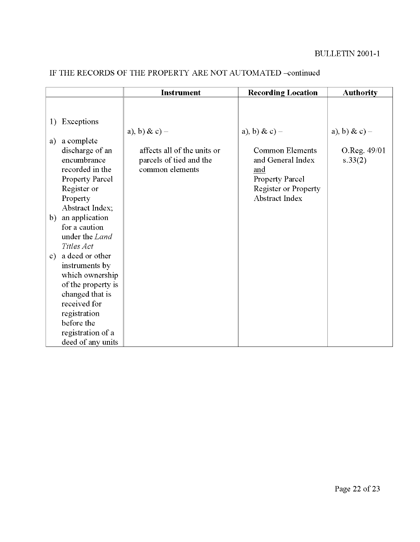|    |                        | <b>Instrument</b>           | <b>Recording Location</b>   | <b>Authority</b> |
|----|------------------------|-----------------------------|-----------------------------|------------------|
|    |                        |                             |                             |                  |
|    |                        |                             |                             |                  |
| 1) | Exceptions             |                             |                             |                  |
|    |                        | a), b) & c) –               | a), b) & c) –               | a), b) & c) –    |
| a) | a complete             |                             |                             |                  |
|    | discharge of an        | affects all of the units or | <b>Common Elements</b>      | O.Reg. 49/01     |
|    | encumbrance            | parcels of tied and the     | and General Index           | s.33(2)          |
|    | recorded in the        | common elements             | and                         |                  |
|    | <b>Property Parcel</b> |                             | Property Parcel             |                  |
|    | Register or            |                             | <b>Register or Property</b> |                  |
|    | Property               |                             | <b>Abstract Index</b>       |                  |
|    | Abstract Index;        |                             |                             |                  |
|    | b) an application      |                             |                             |                  |
|    | for a caution          |                             |                             |                  |
|    | under the Land         |                             |                             |                  |
|    | Titles Act             |                             |                             |                  |
|    | c) a deed or other     |                             |                             |                  |
|    | instruments by         |                             |                             |                  |
|    | which ownership        |                             |                             |                  |
|    | of the property is     |                             |                             |                  |
|    | changed that is        |                             |                             |                  |
|    | received for           |                             |                             |                  |
|    | registration           |                             |                             |                  |
|    | before the             |                             |                             |                  |
|    | registration of a      |                             |                             |                  |
|    | deed of any units      |                             |                             |                  |

# IF THE RECORDS OF THE PROPERTY ARE NOT AUTOMATED -continued